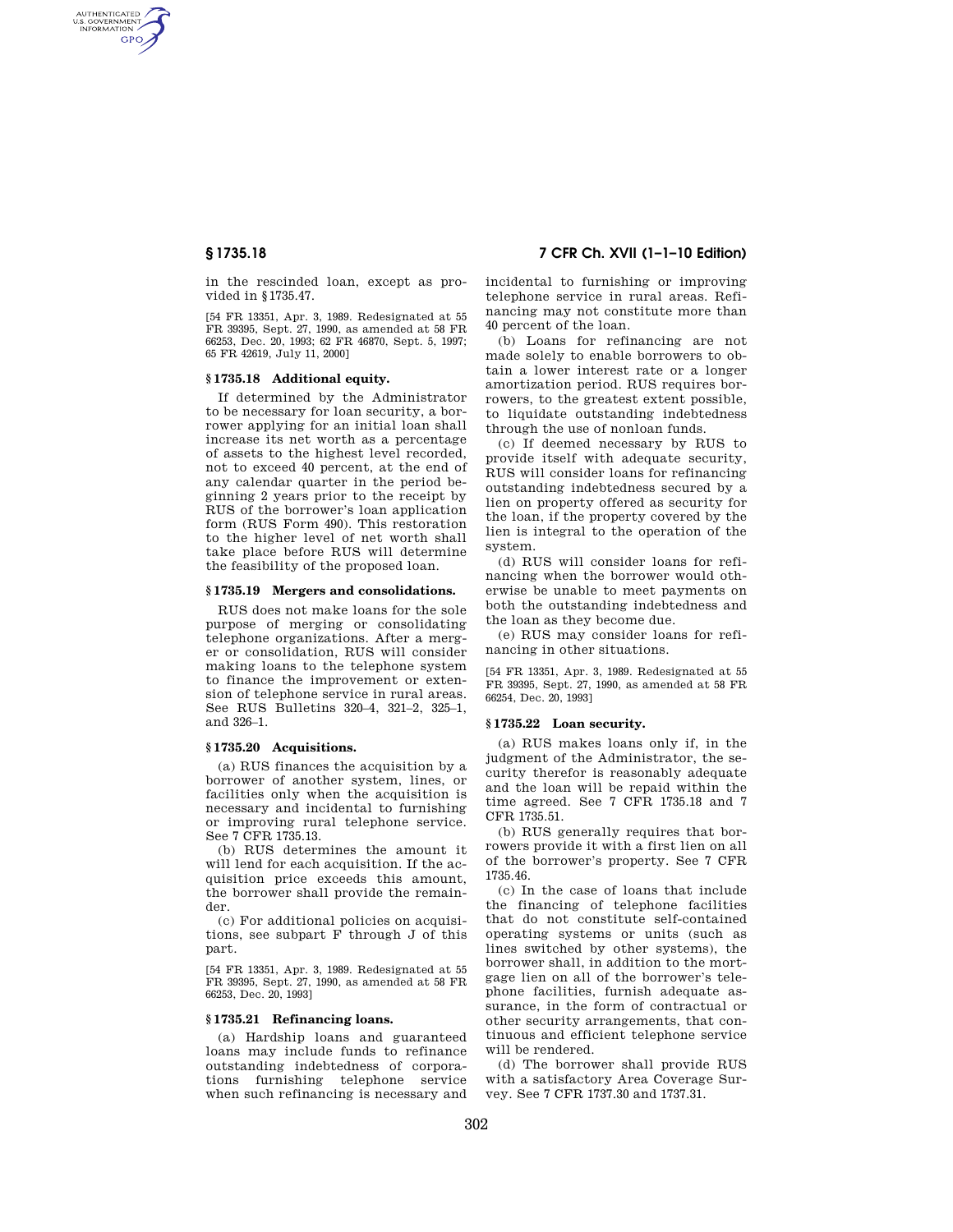AUTHENTICATED<br>U.S. GOVERNMENT<br>INFORMATION **GPO** 

> in the rescinded loan, except as provided in §1735.47.

> [54 FR 13351, Apr. 3, 1989. Redesignated at 55 FR 39395, Sept. 27, 1990, as amended at 58 FR 66253, Dec. 20, 1993; 62 FR 46870, Sept. 5, 1997; 65 FR 42619, July 11, 2000]

# **§ 1735.18 Additional equity.**

If determined by the Administrator to be necessary for loan security, a borrower applying for an initial loan shall increase its net worth as a percentage of assets to the highest level recorded, not to exceed 40 percent, at the end of any calendar quarter in the period beginning 2 years prior to the receipt by RUS of the borrower's loan application form (RUS Form 490). This restoration to the higher level of net worth shall take place before RUS will determine the feasibility of the proposed loan.

# **§ 1735.19 Mergers and consolidations.**

RUS does not make loans for the sole purpose of merging or consolidating telephone organizations. After a merger or consolidation, RUS will consider making loans to the telephone system to finance the improvement or extension of telephone service in rural areas. See RUS Bulletins 320–4, 321–2, 325–1, and 326–1.

## **§ 1735.20 Acquisitions.**

(a) RUS finances the acquisition by a borrower of another system, lines, or facilities only when the acquisition is necessary and incidental to furnishing or improving rural telephone service. See 7 CFR 1735.13.

(b) RUS determines the amount it will lend for each acquisition. If the acquisition price exceeds this amount, the borrower shall provide the remainder.

(c) For additional policies on acquisitions, see subpart F through J of this part.

[54 FR 13351, Apr. 3, 1989. Redesignated at 55 FR 39395, Sept. 27, 1990, as amended at 58 FR 66253, Dec. 20, 1993]

## **§ 1735.21 Refinancing loans.**

(a) Hardship loans and guaranteed loans may include funds to refinance outstanding indebtedness of corporations furnishing telephone service when such refinancing is necessary and

# **§ 1735.18 7 CFR Ch. XVII (1–1–10 Edition)**

incidental to furnishing or improving telephone service in rural areas. Refinancing may not constitute more than 40 percent of the loan.

(b) Loans for refinancing are not made solely to enable borrowers to obtain a lower interest rate or a longer amortization period. RUS requires borrowers, to the greatest extent possible, to liquidate outstanding indebtedness through the use of nonloan funds.

(c) If deemed necessary by RUS to provide itself with adequate security, RUS will consider loans for refinancing outstanding indebtedness secured by a lien on property offered as security for the loan, if the property covered by the lien is integral to the operation of the system.

(d) RUS will consider loans for refinancing when the borrower would otherwise be unable to meet payments on both the outstanding indebtedness and the loan as they become due.

(e) RUS may consider loans for refinancing in other situations.

[54 FR 13351, Apr. 3, 1989. Redesignated at 55 FR 39395, Sept. 27, 1990, as amended at 58 FR 66254, Dec. 20, 1993]

#### **§ 1735.22 Loan security.**

(a) RUS makes loans only if, in the judgment of the Administrator, the security therefor is reasonably adequate and the loan will be repaid within the time agreed. See 7 CFR 1735.18 and 7 CFR 1735.51.

(b) RUS generally requires that borrowers provide it with a first lien on all of the borrower's property. See 7 CFR 1735.46.

(c) In the case of loans that include the financing of telephone facilities that do not constitute self-contained operating systems or units (such as lines switched by other systems), the borrower shall, in addition to the mortgage lien on all of the borrower's telephone facilities, furnish adequate assurance, in the form of contractual or other security arrangements, that continuous and efficient telephone service will be rendered.

(d) The borrower shall provide RUS with a satisfactory Area Coverage Survey. See 7 CFR 1737.30 and 1737.31.